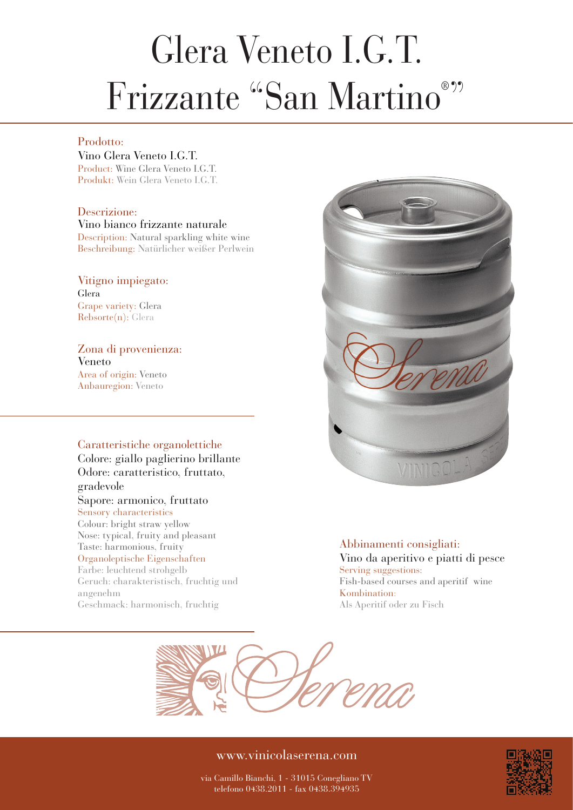# Glera Veneto I.G.T. Frizzante "San Martino""

# Prodotto:

Vino Glera Veneto I.G.T. Product: Wine Glera Veneto I.G.T. Produkt: Wein Glera Veneto I.G.T.

Descrizione: Vino bianco frizzante naturale Description: Natural sparkling white wine Beschreibung: Natürlicher weißer Perlwein

Vitigno impiegato: Glera Grape variety: Glera Rebsorte(n): Glera

Zona di provenienza: Veneto Area of origin: Veneto

Anbauregion: Veneto

# Caratteristiche organolettiche

Colore: giallo paglierino brillante Odore: caratteristico, fruttato, gradevole

Sapore: armonico, fruttato Sensory characteristics

Colour: bright straw yellow Nose: typical, fruity and pleasant Taste: harmonious, fruity Organoleptische Eigenschaften Farbe: leuchtend strohgelb Geruch: charakteristisch, fruchtig und angenehm Geschmack: harmonisch, fruchtig



Abbinamenti consigliati: Vino da aperitivo e piatti di pesce Serving suggestions: Fish-based courses and aperitif wine Kombination: Als Aperitif oder zu Fisch



# www.vinicolaserena.com



via Camillo Bianchi, 1 - 31015 Conegliano TV telefono 0438.2011 - fax 0438.394935